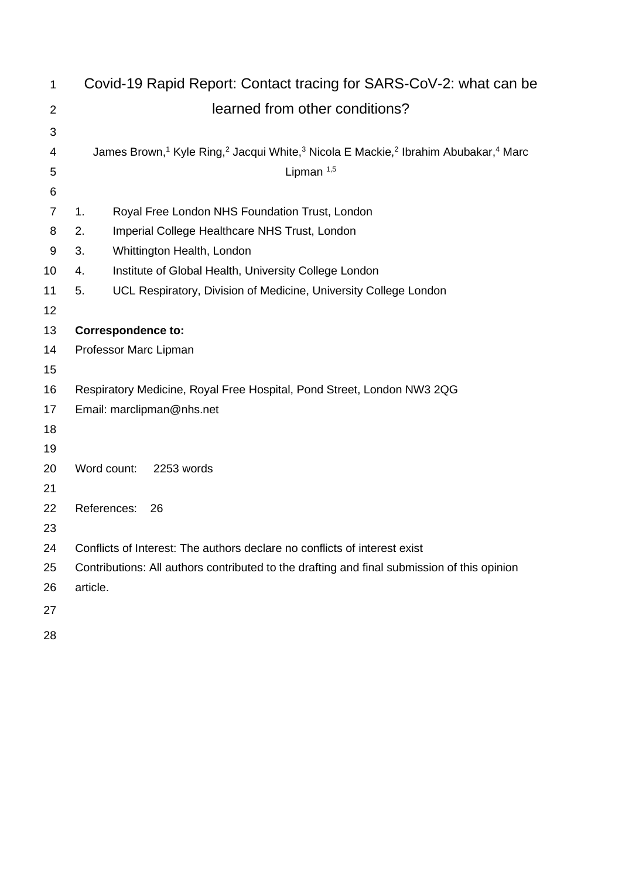| $\mathbf 1$    | Covid-19 Rapid Report: Contact tracing for SARS-CoV-2: what can be                                                                             |                                                                                             |  |  |  |
|----------------|------------------------------------------------------------------------------------------------------------------------------------------------|---------------------------------------------------------------------------------------------|--|--|--|
| $\overline{2}$ | learned from other conditions?                                                                                                                 |                                                                                             |  |  |  |
| 3              |                                                                                                                                                |                                                                                             |  |  |  |
| 4              | James Brown, <sup>1</sup> Kyle Ring, <sup>2</sup> Jacqui White, <sup>3</sup> Nicola E Mackie, <sup>2</sup> Ibrahim Abubakar, <sup>4</sup> Marc |                                                                                             |  |  |  |
| 5              |                                                                                                                                                | Lipman $1,5$                                                                                |  |  |  |
| 6              |                                                                                                                                                |                                                                                             |  |  |  |
| $\overline{7}$ | 1.                                                                                                                                             | Royal Free London NHS Foundation Trust, London                                              |  |  |  |
| 8              | Imperial College Healthcare NHS Trust, London<br>2.                                                                                            |                                                                                             |  |  |  |
| 9              | 3.<br>Whittington Health, London                                                                                                               |                                                                                             |  |  |  |
| 10             | Institute of Global Health, University College London<br>4.                                                                                    |                                                                                             |  |  |  |
| 11             | 5.                                                                                                                                             | UCL Respiratory, Division of Medicine, University College London                            |  |  |  |
| 12             |                                                                                                                                                |                                                                                             |  |  |  |
| 13             | <b>Correspondence to:</b>                                                                                                                      |                                                                                             |  |  |  |
| 14             | Professor Marc Lipman                                                                                                                          |                                                                                             |  |  |  |
| 15             |                                                                                                                                                |                                                                                             |  |  |  |
| 16             |                                                                                                                                                | Respiratory Medicine, Royal Free Hospital, Pond Street, London NW3 2QG                      |  |  |  |
| 17             | Email: marclipman@nhs.net                                                                                                                      |                                                                                             |  |  |  |
| 18             |                                                                                                                                                |                                                                                             |  |  |  |
| 19             |                                                                                                                                                |                                                                                             |  |  |  |
| 20             |                                                                                                                                                | Word count:<br>2253 words                                                                   |  |  |  |
| 21             |                                                                                                                                                |                                                                                             |  |  |  |
| 22             |                                                                                                                                                | References:<br>26                                                                           |  |  |  |
| 23<br>24       |                                                                                                                                                | Conflicts of Interest: The authors declare no conflicts of interest exist                   |  |  |  |
| 25             |                                                                                                                                                | Contributions: All authors contributed to the drafting and final submission of this opinion |  |  |  |
| 26             | article.                                                                                                                                       |                                                                                             |  |  |  |
| 27             |                                                                                                                                                |                                                                                             |  |  |  |
|                |                                                                                                                                                |                                                                                             |  |  |  |
| 28             |                                                                                                                                                |                                                                                             |  |  |  |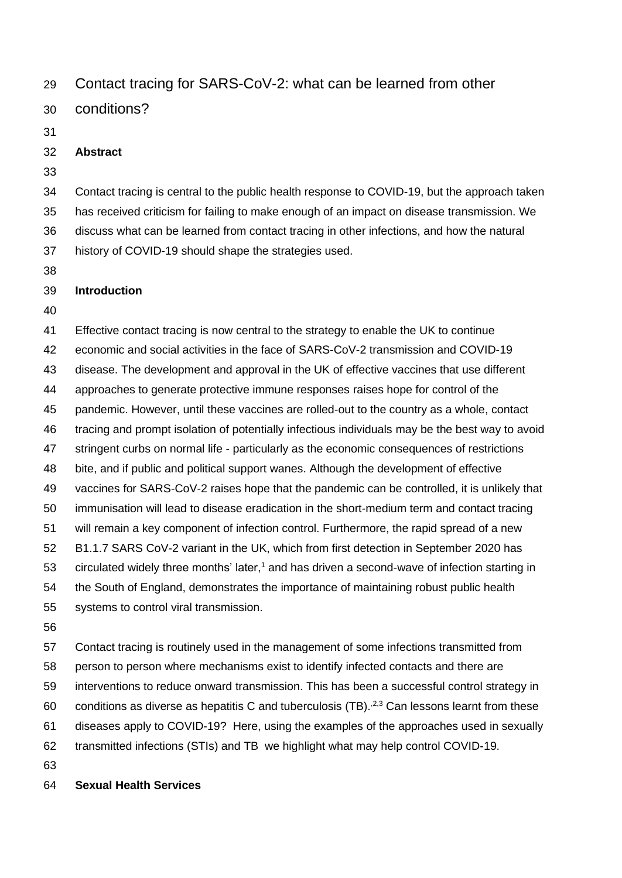# Contact tracing for SARS-CoV-2: what can be learned from other

conditions?

### **Abstract**

 Contact tracing is central to the public health response to COVID-19, but the approach taken has received criticism for failing to make enough of an impact on disease transmission. We discuss what can be learned from contact tracing in other infections, and how the natural history of COVID-19 should shape the strategies used.

## **Introduction**

 Effective contact tracing is now central to the strategy to enable the UK to continue economic and social activities in the face of SARS-CoV-2 transmission and COVID-19 disease. The development and approval in the UK of effective vaccines that use different approaches to generate protective immune responses raises hope for control of the pandemic. However, until these vaccines are rolled-out to the country as a whole, contact tracing and prompt isolation of potentially infectious individuals may be the best way to avoid stringent curbs on normal life - particularly as the economic consequences of restrictions bite, and if public and political support wanes. Although the development of effective vaccines for SARS-CoV-2 raises hope that the pandemic can be controlled, it is unlikely that immunisation will lead to disease eradication in the short-medium term and contact tracing will remain a key component of infection control. Furthermore, the rapid spread of a new B1.1.7 SARS CoV-2 variant in the UK, which from first detection in September 2020 has 53 circulated widely three months' later,<sup>1</sup> and has driven a second-wave of infection starting in the South of England, demonstrates the importance of maintaining robust public health systems to control viral transmission. 

 Contact tracing is routinely used in the management of some infections transmitted from person to person where mechanisms exist to identify infected contacts and there are interventions to reduce onward transmission. This has been a successful control strategy in 60 conditions as diverse as hepatitis C and tuberculosis (TB).  $2,3$  Can lessons learnt from these diseases apply to COVID-19? Here, using the examples of the approaches used in sexually transmitted infections (STIs) and TB we highlight what may help control COVID-19. 

## **Sexual Health Services**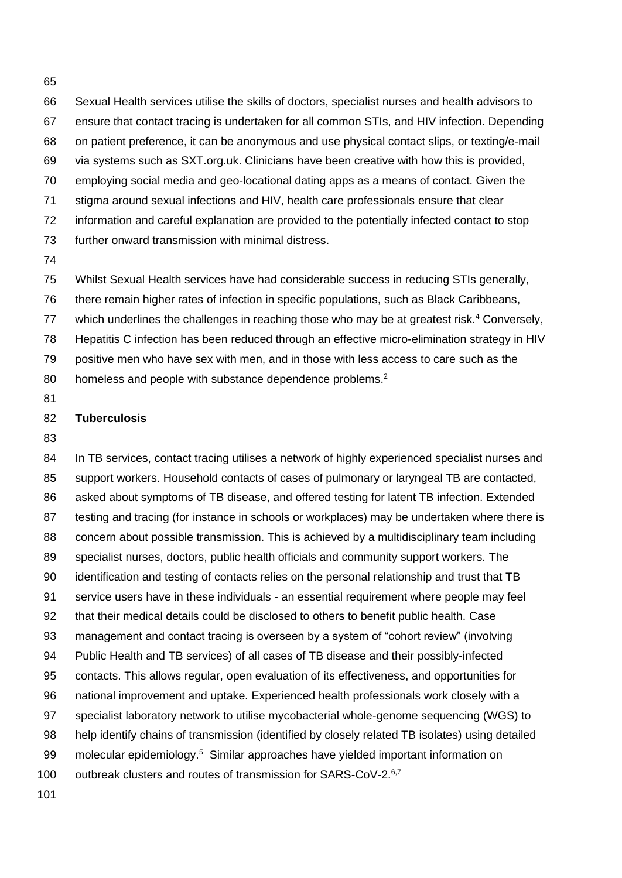Sexual Health services utilise the skills of doctors, specialist nurses and health advisors to ensure that contact tracing is undertaken for all common STIs, and HIV infection. Depending on patient preference, it can be anonymous and use physical contact slips, or texting/e-mail via systems such as SXT.org.uk. Clinicians have been creative with how this is provided, employing social media and geo-locational dating apps as a means of contact. Given the stigma around sexual infections and HIV, health care professionals ensure that clear information and careful explanation are provided to the potentially infected contact to stop further onward transmission with minimal distress. 

 Whilst Sexual Health services have had considerable success in reducing STIs generally, there remain higher rates of infection in specific populations, such as Black Caribbeans, 77 which underlines the challenges in reaching those who may be at greatest risk.<sup>4</sup> Conversely, Hepatitis C infection has been reduced through an effective micro-elimination strategy in HIV positive men who have sex with men, and in those with less access to care such as the 80 homeless and people with substance dependence problems.<sup>2</sup>

#### **Tuberculosis**

 In TB services, contact tracing utilises a network of highly experienced specialist nurses and support workers. Household contacts of cases of pulmonary or laryngeal TB are contacted, asked about symptoms of TB disease, and offered testing for latent TB infection. Extended testing and tracing (for instance in schools or workplaces) may be undertaken where there is concern about possible transmission. This is achieved by a multidisciplinary team including specialist nurses, doctors, public health officials and community support workers. The identification and testing of contacts relies on the personal relationship and trust that TB service users have in these individuals - an essential requirement where people may feel that their medical details could be disclosed to others to benefit public health. Case management and contact tracing is overseen by a system of "cohort review" (involving Public Health and TB services) of all cases of TB disease and their possibly-infected contacts. This allows regular, open evaluation of its effectiveness, and opportunities for national improvement and uptake. Experienced health professionals work closely with a specialist laboratory network to utilise mycobacterial whole-genome sequencing (WGS) to help identify chains of transmission (identified by closely related TB isolates) using detailed 99 molecular epidemiology.<sup>5</sup> Similar approaches have yielded important information on 100 outbreak clusters and routes of transmission for SARS-CoV-2. $6,7$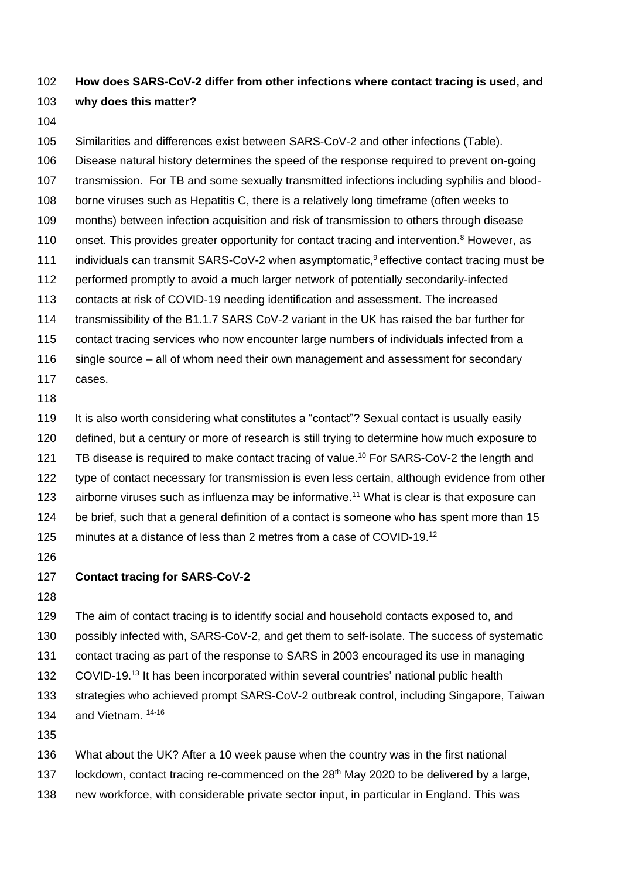# **How does SARS-CoV-2 differ from other infections where contact tracing is used, and why does this matter?**

 Similarities and differences exist between SARS-CoV-2 and other infections (Table). Disease natural history determines the speed of the response required to prevent on-going transmission. For TB and some sexually transmitted infections including syphilis and blood- borne viruses such as Hepatitis C, there is a relatively long timeframe (often weeks to months) between infection acquisition and risk of transmission to others through disease 110 onset. This provides greater opportunity for contact tracing and intervention.<sup>8</sup> However, as 111 individuals can transmit SARS-CoV-2 when asymptomatic,<sup>9</sup> effective contact tracing must be performed promptly to avoid a much larger network of potentially secondarily-infected contacts at risk of COVID-19 needing identification and assessment. The increased transmissibility of the B1.1.7 SARS CoV-2 variant in the UK has raised the bar further for contact tracing services who now encounter large numbers of individuals infected from a single source – all of whom need their own management and assessment for secondary cases. It is also worth considering what constitutes a "contact"? Sexual contact is usually easily

 defined, but a century or more of research is still trying to determine how much exposure to 121 TB disease is required to make contact tracing of value.<sup>10</sup> For SARS-CoV-2 the length and type of contact necessary for transmission is even less certain, although evidence from other 123 airborne viruses such as influenza may be informative.<sup>11</sup> What is clear is that exposure can be brief, such that a general definition of a contact is someone who has spent more than 15 125 minutes at a distance of less than 2 metres from a case of COVID-19.<sup>12</sup>

#### **Contact tracing for SARS-CoV-2**

 The aim of contact tracing is to identify social and household contacts exposed to, and possibly infected with, SARS-CoV-2, and get them to self-isolate. The success of systematic contact tracing as part of the response to SARS in 2003 encouraged its use in managing 132 COVID-19.<sup>13</sup> It has been incorporated within several countries' national public health strategies who achieved prompt SARS-CoV-2 outbreak control, including Singapore, Taiwan 134 and Vietnam. 14-16

What about the UK? After a 10 week pause when the country was in the first national

137 lockdown, contact tracing re-commenced on the  $28<sup>th</sup>$  May 2020 to be delivered by a large,

new workforce, with considerable private sector input, in particular in England. This was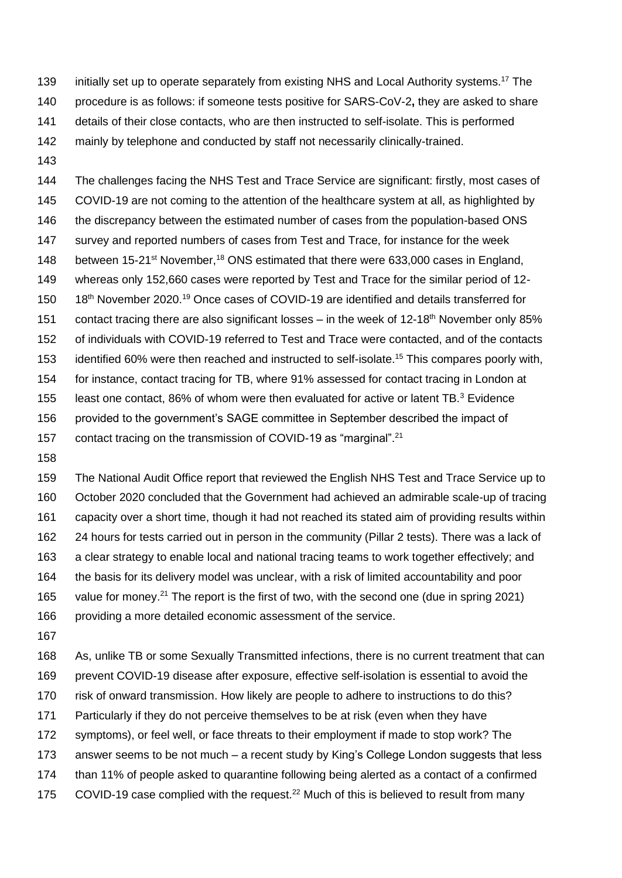139 initially set up to operate separately from existing NHS and Local Authority systems.<sup>17</sup> The procedure is as follows: if someone tests positive for SARS-CoV-2**,** they are asked to share details of their close contacts, who are then instructed to self-isolate. This is performed mainly by telephone and conducted by staff not necessarily clinically-trained.

 The challenges facing the NHS Test and Trace Service are significant: firstly, most cases of COVID-19 are not coming to the attention of the healthcare system at all, as highlighted by 146 the discrepancy between the estimated number of cases from the population-based ONS survey and reported numbers of cases from Test and Trace, for instance for the week 148 between 15-21<sup>st</sup> November,<sup>18</sup> ONS estimated that there were 633,000 cases in England, whereas only 152,660 cases were reported by Test and Trace for the similar period of 12- 150 18<sup>th</sup> November 2020.<sup>19</sup> Once cases of COVID-19 are identified and details transferred for 151 contact tracing there are also significant losses – in the week of 12-18<sup>th</sup> November only 85% of individuals with COVID-19 referred to Test and Trace were contacted, and of the contacts 153 identified 60% were then reached and instructed to self-isolate.<sup>15</sup> This compares poorly with, for instance, contact tracing for TB, where 91% assessed for contact tracing in London at 155 least one contact, 86% of whom were then evaluated for active or latent  $TB.^3$  Evidence provided to the government's SAGE committee in September described the impact of

157 contact tracing on the transmission of COVID-19 as "marginal".<sup>21</sup>

 The National Audit Office report that reviewed the English NHS Test and Trace Service up to October 2020 concluded that the Government had achieved an admirable scale-up of tracing capacity over a short time, though it had not reached its stated aim of providing results within 24 hours for tests carried out in person in the community (Pillar 2 tests). There was a lack of a clear strategy to enable local and national tracing teams to work together effectively; and the basis for its delivery model was unclear, with a risk of limited accountability and poor 165 value for money.<sup>21</sup> The report is the first of two, with the second one (due in spring 2021) providing a more detailed economic assessment of the service.

 As, unlike TB or some Sexually Transmitted infections, there is no current treatment that can prevent COVID-19 disease after exposure, effective self-isolation is essential to avoid the risk of onward transmission. How likely are people to adhere to instructions to do this? Particularly if they do not perceive themselves to be at risk (even when they have symptoms), or feel well, or face threats to their employment if made to stop work? The answer seems to be not much – a recent study by King's College London suggests that less than 11% of people asked to quarantine following being alerted as a contact of a confirmed

175 COVID-19 case complied with the request.<sup>22</sup> Much of this is believed to result from many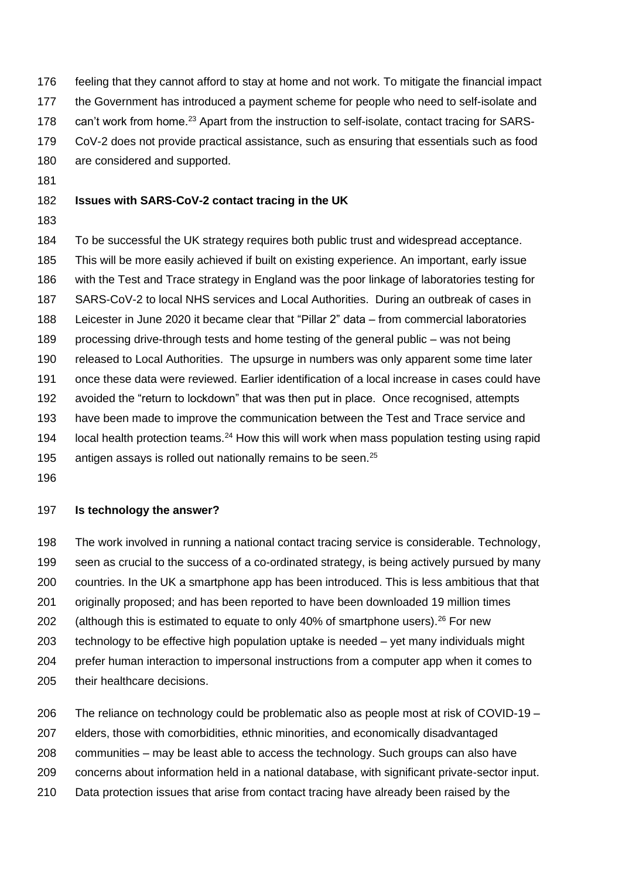- feeling that they cannot afford to stay at home and not work. To mitigate the financial impact
- the Government has introduced a payment scheme for people who need to self-isolate and
- 178 can't work from home.<sup>23</sup> Apart from the instruction to self-isolate, contact tracing for SARS-
- CoV-2 does not provide practical assistance, such as ensuring that essentials such as food
- are considered and supported.
- 

# **Issues with SARS-CoV-2 contact tracing in the UK**

 To be successful the UK strategy requires both public trust and widespread acceptance. This will be more easily achieved if built on existing experience. An important, early issue with the Test and Trace strategy in England was the poor linkage of laboratories testing for SARS-CoV-2 to local NHS services and Local Authorities. During an outbreak of cases in Leicester in June 2020 it became clear that "Pillar 2" data – from commercial laboratories processing drive-through tests and home testing of the general public – was not being released to Local Authorities. The upsurge in numbers was only apparent some time later once these data were reviewed. Earlier identification of a local increase in cases could have avoided the "return to lockdown" that was then put in place. Once recognised, attempts have been made to improve the communication between the Test and Trace service and 194 local health protection teams. How this will work when mass population testing using rapid 195 antigen assays is rolled out nationally remains to be seen.

### **Is technology the answer?**

 The work involved in running a national contact tracing service is considerable. Technology, seen as crucial to the success of a co-ordinated strategy, is being actively pursued by many countries. In the UK a smartphone app has been introduced. This is less ambitious that that originally proposed; and has been reported to have been downloaded 19 million times 202 (although this is estimated to equate to only 40% of smartphone users).<sup>26</sup> For new technology to be effective high population uptake is needed – yet many individuals might prefer human interaction to impersonal instructions from a computer app when it comes to their healthcare decisions.

 The reliance on technology could be problematic also as people most at risk of COVID-19 – elders, those with comorbidities, ethnic minorities, and economically disadvantaged communities – may be least able to access the technology. Such groups can also have concerns about information held in a national database, with significant private-sector input. Data protection issues that arise from contact tracing have already been raised by the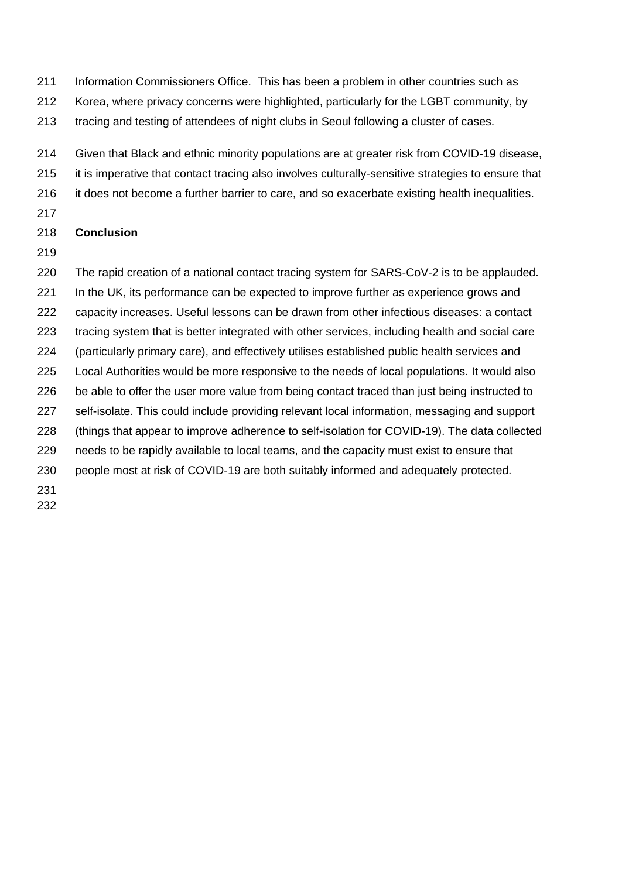- Information Commissioners Office. This has been a problem in other countries such as
- Korea, where privacy concerns were highlighted, particularly for the LGBT community, by
- tracing and testing of attendees of night clubs in Seoul following a cluster of cases.
- Given that Black and ethnic minority populations are at greater risk from COVID-19 disease,
- it is imperative that contact tracing also involves culturally-sensitive strategies to ensure that
- it does not become a further barrier to care, and so exacerbate existing health inequalities.
- 

### **Conclusion**

- 
- The rapid creation of a national contact tracing system for SARS-CoV-2 is to be applauded. 221 In the UK, its performance can be expected to improve further as experience grows and capacity increases. Useful lessons can be drawn from other infectious diseases: a contact tracing system that is better integrated with other services, including health and social care (particularly primary care), and effectively utilises established public health services and Local Authorities would be more responsive to the needs of local populations. It would also 226 be able to offer the user more value from being contact traced than just being instructed to self-isolate. This could include providing relevant local information, messaging and support
- (things that appear to improve adherence to self-isolation for COVID-19). The data collected needs to be rapidly available to local teams, and the capacity must exist to ensure that
- 
- people most at risk of COVID-19 are both suitably informed and adequately protected.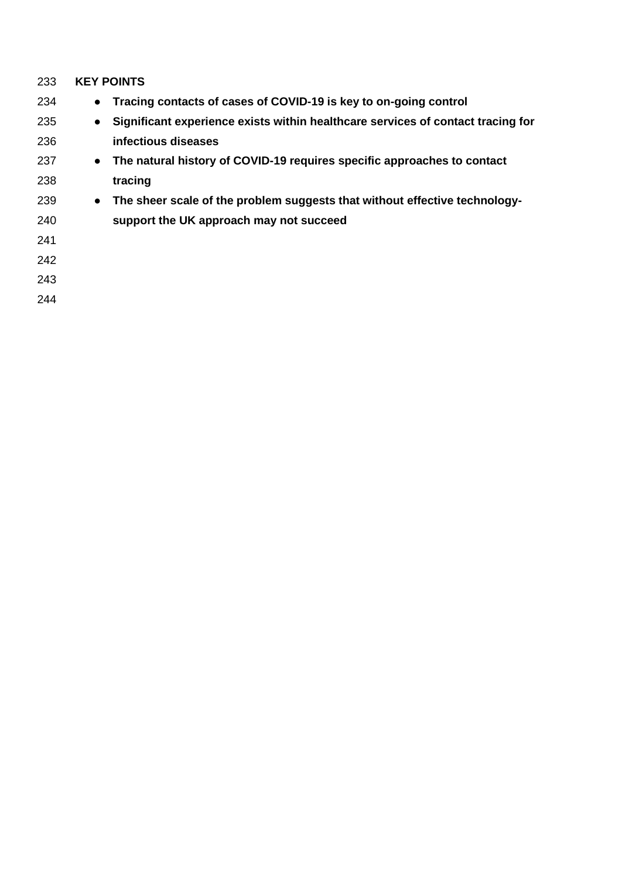| 233 | <b>KEY POINTS</b>                                                                            |  |  |  |
|-----|----------------------------------------------------------------------------------------------|--|--|--|
| 234 | Tracing contacts of cases of COVID-19 is key to on-going control<br>$\bullet$                |  |  |  |
| 235 | Significant experience exists within healthcare services of contact tracing for<br>$\bullet$ |  |  |  |
| 236 | infectious diseases                                                                          |  |  |  |
| 237 | The natural history of COVID-19 requires specific approaches to contact<br>$\bullet$         |  |  |  |
| 238 | tracing                                                                                      |  |  |  |
| 239 | The sheer scale of the problem suggests that without effective technology-<br>$\bullet$      |  |  |  |
| 240 | support the UK approach may not succeed                                                      |  |  |  |
| 241 |                                                                                              |  |  |  |
| 242 |                                                                                              |  |  |  |
| 243 |                                                                                              |  |  |  |
| 244 |                                                                                              |  |  |  |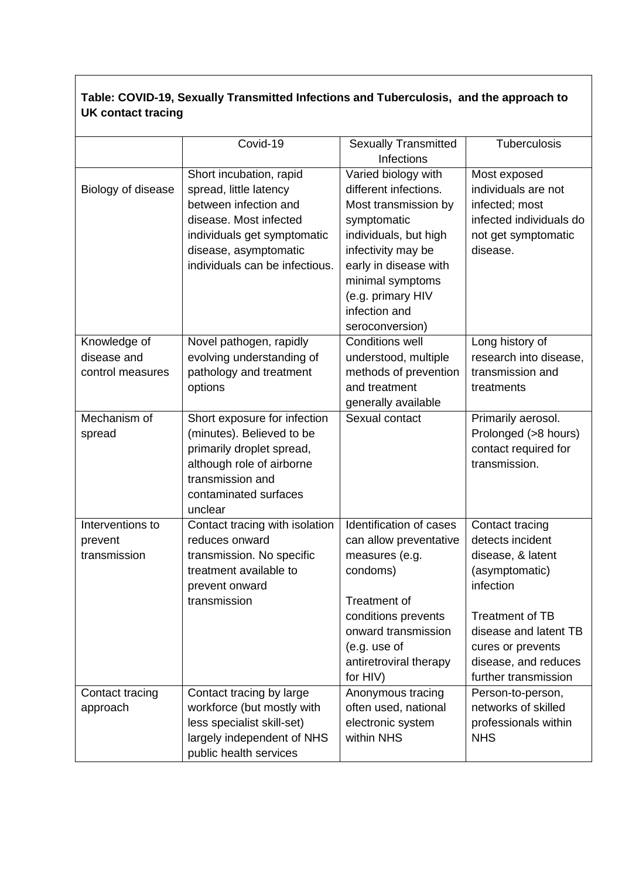## **Table: COVID-19, Sexually Transmitted Infections and Tuberculosis, and the approach to UK contact tracing**

|                    | Covid-19                       | <b>Sexually Transmitted</b> | Tuberculosis            |
|--------------------|--------------------------------|-----------------------------|-------------------------|
|                    |                                | Infections                  |                         |
|                    | Short incubation, rapid        | Varied biology with         | Most exposed            |
| Biology of disease | spread, little latency         | different infections.       | individuals are not     |
|                    | between infection and          | Most transmission by        | infected; most          |
|                    | disease. Most infected         | symptomatic                 | infected individuals do |
|                    | individuals get symptomatic    | individuals, but high       | not get symptomatic     |
|                    | disease, asymptomatic          | infectivity may be          | disease.                |
|                    | individuals can be infectious. | early in disease with       |                         |
|                    |                                | minimal symptoms            |                         |
|                    |                                | (e.g. primary HIV           |                         |
|                    |                                | infection and               |                         |
|                    |                                | seroconversion)             |                         |
| Knowledge of       | Novel pathogen, rapidly        | <b>Conditions well</b>      | Long history of         |
| disease and        | evolving understanding of      | understood, multiple        | research into disease,  |
| control measures   | pathology and treatment        | methods of prevention       | transmission and        |
|                    | options                        | and treatment               | treatments              |
|                    |                                | generally available         |                         |
| Mechanism of       | Short exposure for infection   | Sexual contact              | Primarily aerosol.      |
| spread             | (minutes). Believed to be      |                             | Prolonged (>8 hours)    |
|                    | primarily droplet spread,      |                             | contact required for    |
|                    | although role of airborne      |                             | transmission.           |
|                    | transmission and               |                             |                         |
|                    | contaminated surfaces          |                             |                         |
|                    | unclear                        |                             |                         |
| Interventions to   | Contact tracing with isolation | Identification of cases     | Contact tracing         |
| prevent            | reduces onward                 | can allow preventative      | detects incident        |
| transmission       | transmission. No specific      | measures (e.g.              | disease, & latent       |
|                    | treatment available to         | condoms)                    | (asymptomatic)          |
|                    | prevent onward                 |                             | infection               |
|                    | transmission                   | Treatment of                |                         |
|                    |                                | conditions prevents         | <b>Treatment of TB</b>  |
|                    |                                | onward transmission         | disease and latent TB   |
|                    |                                | (e.g. use of                | cures or prevents       |
|                    |                                | antiretroviral therapy      | disease, and reduces    |
|                    |                                | for HIV)                    | further transmission    |
| Contact tracing    | Contact tracing by large       | Anonymous tracing           | Person-to-person,       |
| approach           | workforce (but mostly with     | often used, national        | networks of skilled     |
|                    | less specialist skill-set)     | electronic system           | professionals within    |
|                    | largely independent of NHS     | within NHS                  | <b>NHS</b>              |
|                    | public health services         |                             |                         |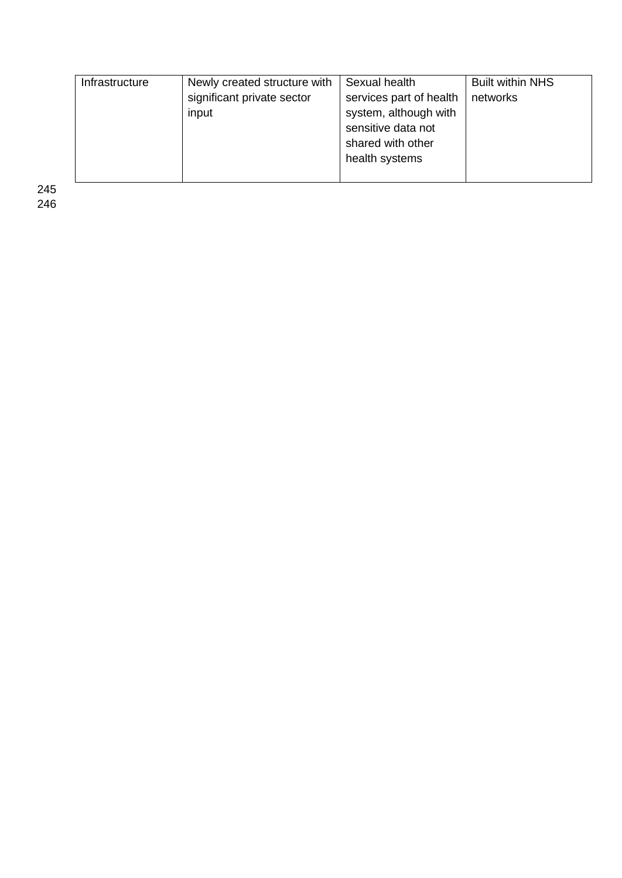| Infrastructure | Newly created structure with | Sexual health           | <b>Built within NHS</b> |
|----------------|------------------------------|-------------------------|-------------------------|
|                | significant private sector   | services part of health | networks                |
|                | input                        | system, although with   |                         |
|                |                              | sensitive data not      |                         |
|                |                              | shared with other       |                         |
|                |                              | health systems          |                         |
|                |                              |                         |                         |

245 246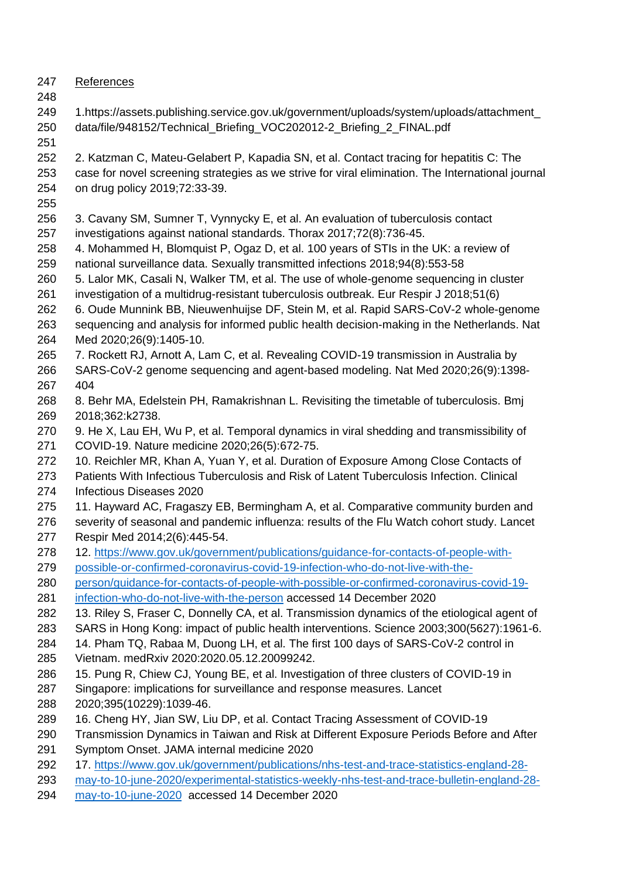- References
- 

 1.https://assets.publishing.service.gov.uk/government/uploads/system/uploads/attachment\_ data/file/948152/Technical\_Briefing\_VOC202012-2\_Briefing\_2\_FINAL.pdf

 2. Katzman C, Mateu-Gelabert P, Kapadia SN, et al. Contact tracing for hepatitis C: The case for novel screening strategies as we strive for viral elimination. The International journal on drug policy 2019;72:33-39.

- 
- 3. Cavany SM, Sumner T, Vynnycky E, et al. An evaluation of tuberculosis contact investigations against national standards. Thorax 2017;72(8):736-45.
- 4. Mohammed H, Blomquist P, Ogaz D, et al. 100 years of STIs in the UK: a review of national surveillance data. Sexually transmitted infections 2018;94(8):553-58
- 5. Lalor MK, Casali N, Walker TM, et al. The use of whole-genome sequencing in cluster
- investigation of a multidrug-resistant tuberculosis outbreak. Eur Respir J 2018;51(6)
- 6. Oude Munnink BB, Nieuwenhuijse DF, Stein M, et al. Rapid SARS-CoV-2 whole-genome sequencing and analysis for informed public health decision-making in the Netherlands. Nat
- Med 2020;26(9):1405-10.
- 7. Rockett RJ, Arnott A, Lam C, et al. Revealing COVID-19 transmission in Australia by SARS-CoV-2 genome sequencing and agent-based modeling. Nat Med 2020;26(9):1398- 404
- 8. Behr MA, Edelstein PH, Ramakrishnan L. Revisiting the timetable of tuberculosis. Bmj 2018;362:k2738.
- 270 9. He X, Lau EH, Wu P, et al. Temporal dynamics in viral shedding and transmissibility of COVID-19. Nature medicine 2020;26(5):672-75.
- 272 10. Reichler MR, Khan A, Yuan Y, et al. Duration of Exposure Among Close Contacts of
- Patients With Infectious Tuberculosis and Risk of Latent Tuberculosis Infection. Clinical Infectious Diseases 2020
- 11. Hayward AC, Fragaszy EB, Bermingham A, et al. Comparative community burden and
- severity of seasonal and pandemic influenza: results of the Flu Watch cohort study. Lancet Respir Med 2014;2(6):445-54.
- 12. [https://www.gov.uk/government/publications/guidance-for-contacts-of-people-with-](about:blank)
- [possible-or-confirmed-coronavirus-covid-19-infection-who-do-not-live-with-the-](about:blank)
- [person/guidance-for-contacts-of-people-with-possible-or-confirmed-coronavirus-covid-19-](about:blank) [infection-who-do-not-live-with-the-person](about:blank) accessed 14 December 2020
- 13. Riley S, Fraser C, Donnelly CA, et al. Transmission dynamics of the etiological agent of
- SARS in Hong Kong: impact of public health interventions. Science 2003;300(5627):1961-6.
- 14. Pham TQ, Rabaa M, Duong LH, et al. The first 100 days of SARS-CoV-2 control in Vietnam. medRxiv 2020:2020.05.12.20099242.
- 15. Pung R, Chiew CJ, Young BE, et al. Investigation of three clusters of COVID-19 in
- Singapore: implications for surveillance and response measures. Lancet
- 2020;395(10229):1039-46.
- 16. Cheng HY, Jian SW, Liu DP, et al. Contact Tracing Assessment of COVID-19
- Transmission Dynamics in Taiwan and Risk at Different Exposure Periods Before and After
- Symptom Onset. JAMA internal medicine 2020
- 17. [https://www.gov.uk/government/publications/nhs-test-and-trace-statistics-england-28-](about:blank)
- [may-to-10-june-2020/experimental-statistics-weekly-nhs-test-and-trace-bulletin-england-28-](about:blank)
- [may-to-10-june-2020](about:blank) accessed 14 December 2020